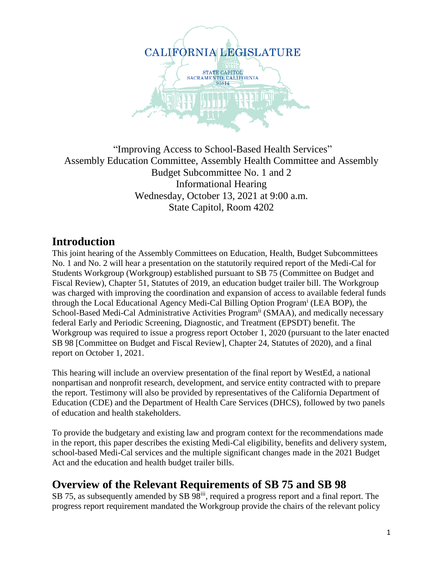

#### "Improving Access to School-Based Health Services" Assembly Education Committee, Assembly Health Committee and Assembly Budget Subcommittee No. 1 and 2 Informational Hearing Wednesday, October 13, 2021 at 9:00 a.m. State Capitol, Room 4202

## **Introduction**

This joint hearing of the Assembly Committees on Education, Health, Budget Subcommittees No. 1 and No. 2 will hear a presentation on the statutorily required report of the Medi-Cal for Students Workgroup (Workgroup) established pursuant to SB 75 (Committee on Budget and Fiscal Review), Chapter 51, Statutes of 2019, an education budget trailer bill. The Workgroup was charged with improving the coordination and expansion of access to available federal funds through the Local Educational Agency Medi-Cal Billing Option Program<sup>i</sup> (LEA BOP), the School-Based Medi-Cal Administrative Activities Program<sup>ii</sup> (SMAA), and medically necessary federal Early and Periodic Screening, Diagnostic, and Treatment (EPSDT) benefit. The Workgroup was required to issue a progress report October 1, 2020 (pursuant to the later enacted SB 98 [Committee on Budget and Fiscal Review], Chapter 24, Statutes of 2020), and a final report on October 1, 2021.

This hearing will include an overview presentation of the final report by WestEd, a national nonpartisan and nonprofit research, development, and service entity contracted with to prepare the report. Testimony will also be provided by representatives of the California Department of Education (CDE) and the Department of Health Care Services (DHCS), followed by two panels of education and health stakeholders.

To provide the budgetary and existing law and program context for the recommendations made in the report, this paper describes the existing Medi-Cal eligibility, benefits and delivery system, school-based Medi-Cal services and the multiple significant changes made in the 2021 Budget Act and the education and health budget trailer bills.

## **Overview of the Relevant Requirements of SB 75 and SB 98**

SB 75, as subsequently amended by SB 98<sup>iii</sup>, required a progress report and a final report. The progress report requirement mandated the Workgroup provide the chairs of the relevant policy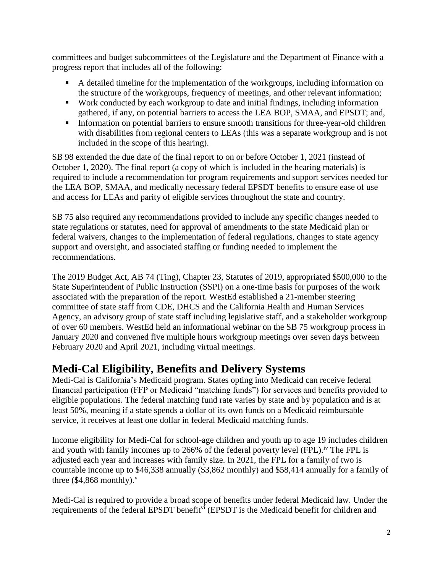committees and budget subcommittees of the Legislature and the Department of Finance with a progress report that includes all of the following:

- A detailed timeline for the implementation of the workgroups, including information on the structure of the workgroups, frequency of meetings, and other relevant information;
- Work conducted by each workgroup to date and initial findings, including information gathered, if any, on potential barriers to access the LEA BOP, SMAA, and EPSDT; and,
- Information on potential barriers to ensure smooth transitions for three-year-old children with disabilities from regional centers to LEAs (this was a separate workgroup and is not included in the scope of this hearing).

SB 98 extended the due date of the final report to on or before October 1, 2021 (instead of October 1, 2020). The final report (a copy of which is included in the hearing materials) is required to include a recommendation for program requirements and support services needed for the LEA BOP, SMAA, and medically necessary federal EPSDT benefits to ensure ease of use and access for LEAs and parity of eligible services throughout the state and country.

SB 75 also required any recommendations provided to include any specific changes needed to state regulations or statutes, need for approval of amendments to the state Medicaid plan or federal waivers, changes to the implementation of federal regulations, changes to state agency support and oversight, and associated staffing or funding needed to implement the recommendations.

The 2019 Budget Act, AB 74 (Ting), Chapter 23, Statutes of 2019, appropriated \$500,000 to the State Superintendent of Public Instruction (SSPI) on a one-time basis for purposes of the work associated with the preparation of the report. WestEd established a 21-member steering committee of state staff from CDE, DHCS and the California Health and Human Services Agency, an advisory group of state staff including legislative staff, and a stakeholder workgroup of over 60 members. WestEd held an informational webinar on the SB 75 workgroup process in January 2020 and convened five multiple hours workgroup meetings over seven days between February 2020 and April 2021, including virtual meetings.

# **Medi-Cal Eligibility, Benefits and Delivery Systems**

Medi-Cal is California's Medicaid program. States opting into Medicaid can receive federal financial participation (FFP or Medicaid "matching funds") for services and benefits provided to eligible populations. The federal matching fund rate varies by state and by population and is at least 50%, meaning if a state spends a dollar of its own funds on a Medicaid reimbursable service, it receives at least one dollar in federal Medicaid matching funds.

Income eligibility for Medi-Cal for school-age children and youth up to age 19 includes children and youth with family incomes up to 266% of the federal poverty level (FPL).<sup>iv</sup> The FPL is adjusted each year and increases with family size. In 2021, the FPL for a family of two is countable income up to \$46,338 annually (\$3,862 monthly) and \$58,414 annually for a family of three  $(\$4,868$  monthly).<sup>v</sup>

Medi-Cal is required to provide a broad scope of benefits under federal Medicaid law. Under the requirements of the federal EPSDT benefit<sup>vi</sup> (EPSDT is the Medicaid benefit for children and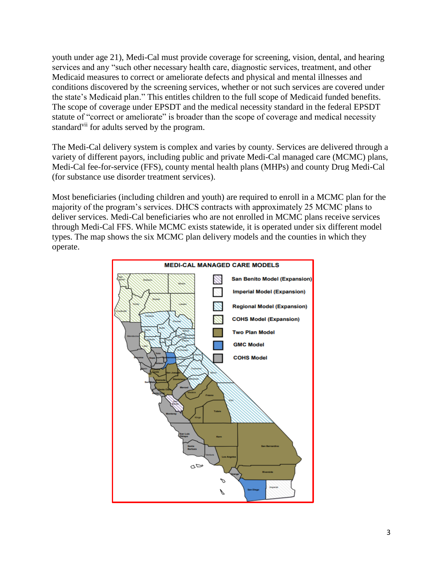youth under age 21), Medi-Cal must provide coverage for screening, vision, dental, and hearing services and any "such other necessary health care, diagnostic services, treatment, and other Medicaid measures to correct or ameliorate defects and physical and mental illnesses and conditions discovered by the screening services, whether or not such services are covered under the state's Medicaid plan." This entitles children to the full scope of Medicaid funded benefits. The scope of coverage under EPSDT and the medical necessity standard in the federal EPSDT statute of "correct or ameliorate" is broader than the scope of coverage and medical necessity standard<sup>vii</sup> for adults served by the program.

The Medi-Cal delivery system is complex and varies by county. Services are delivered through a variety of different payors, including public and private Medi-Cal managed care (MCMC) plans, Medi-Cal fee-for-service (FFS), county mental health plans (MHPs) and county Drug Medi-Cal (for substance use disorder treatment services).

Most beneficiaries (including children and youth) are required to enroll in a MCMC plan for the majority of the program's services. DHCS contracts with approximately 25 MCMC plans to deliver services. Medi-Cal beneficiaries who are not enrolled in MCMC plans receive services through Medi-Cal FFS. While MCMC exists statewide, it is operated under six different model types. The map shows the six MCMC plan delivery models and the counties in which they operate.

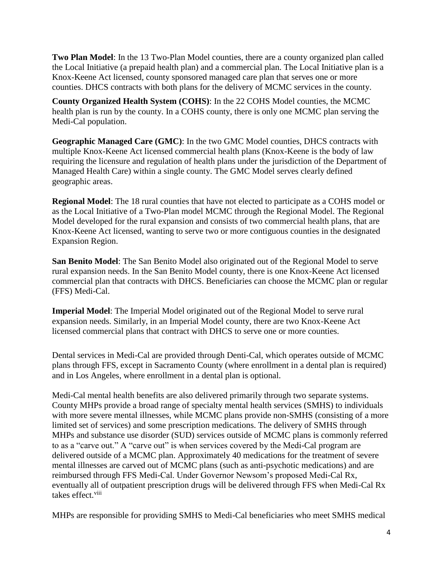**Two Plan Model**: In the 13 Two-Plan Model counties, there are a county organized plan called the Local Initiative (a prepaid health plan) and a commercial plan. The Local Initiative plan is a Knox-Keene Act licensed, county sponsored managed care plan that serves one or more counties. DHCS contracts with both plans for the delivery of MCMC services in the county.

**County Organized Health System (COHS)**: In the 22 COHS Model counties, the MCMC health plan is run by the county. In a COHS county, there is only one MCMC plan serving the Medi-Cal population.

**Geographic Managed Care (GMC)**: In the two GMC Model counties, DHCS contracts with multiple Knox-Keene Act licensed commercial health plans (Knox-Keene is the body of law requiring the licensure and regulation of health plans under the jurisdiction of the Department of Managed Health Care) within a single county. The GMC Model serves clearly defined geographic areas.

**Regional Model**: The 18 rural counties that have not elected to participate as a COHS model or as the Local Initiative of a Two-Plan model MCMC through the Regional Model. The Regional Model developed for the rural expansion and consists of two commercial health plans, that are Knox-Keene Act licensed, wanting to serve two or more contiguous counties in the designated Expansion Region.

**San Benito Model**: The San Benito Model also originated out of the Regional Model to serve rural expansion needs. In the San Benito Model county, there is one Knox-Keene Act licensed commercial plan that contracts with DHCS. Beneficiaries can choose the MCMC plan or regular (FFS) Medi-Cal.

**Imperial Model**: The Imperial Model originated out of the Regional Model to serve rural expansion needs. Similarly, in an Imperial Model county, there are two Knox-Keene Act licensed commercial plans that contract with DHCS to serve one or more counties.

Dental services in Medi-Cal are provided through Denti-Cal, which operates outside of MCMC plans through FFS, except in Sacramento County (where enrollment in a dental plan is required) and in Los Angeles, where enrollment in a dental plan is optional.

Medi-Cal mental health benefits are also delivered primarily through two separate systems. County MHPs provide a broad range of specialty mental health services (SMHS) to individuals with more severe mental illnesses, while MCMC plans provide non-SMHS (consisting of a more limited set of services) and some prescription medications. The delivery of SMHS through MHPs and substance use disorder (SUD) services outside of MCMC plans is commonly referred to as a "carve out." A "carve out" is when services covered by the Medi-Cal program are delivered outside of a MCMC plan. Approximately 40 medications for the treatment of severe mental illnesses are carved out of MCMC plans (such as anti-psychotic medications) and are reimbursed through FFS Medi-Cal. Under Governor Newsom's proposed Medi-Cal Rx, eventually all of outpatient prescription drugs will be delivered through FFS when Medi-Cal Rx takes effect.<sup>viii</sup>

MHPs are responsible for providing SMHS to Medi-Cal beneficiaries who meet SMHS medical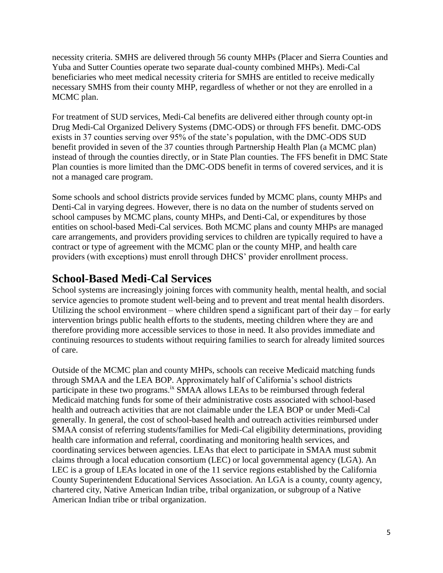necessity criteria. SMHS are delivered through 56 county MHPs (Placer and Sierra Counties and Yuba and Sutter Counties operate two separate dual-county combined MHPs). Medi-Cal beneficiaries who meet medical necessity criteria for SMHS are entitled to receive medically necessary SMHS from their county MHP, regardless of whether or not they are enrolled in a MCMC plan.

For treatment of SUD services, Medi-Cal benefits are delivered either through county opt-in Drug Medi-Cal Organized Delivery Systems (DMC-ODS) or through FFS benefit. DMC-ODS exists in 37 counties serving over 95% of the state's population, with the DMC-ODS SUD benefit provided in seven of the 37 counties through Partnership Health Plan (a MCMC plan) instead of through the counties directly, or in State Plan counties. The FFS benefit in DMC State Plan counties is more limited than the DMC-ODS benefit in terms of covered services, and it is not a managed care program.

Some schools and school districts provide services funded by MCMC plans, county MHPs and Denti-Cal in varying degrees. However, there is no data on the number of students served on school campuses by MCMC plans, county MHPs, and Denti-Cal, or expenditures by those entities on school-based Medi-Cal services. Both MCMC plans and county MHPs are managed care arrangements, and providers providing services to children are typically required to have a contract or type of agreement with the MCMC plan or the county MHP, and health care providers (with exceptions) must enroll through DHCS' provider enrollment process.

### **School-Based Medi-Cal Services**

School systems are increasingly joining forces with community health, mental health, and social service agencies to promote student well-being and to prevent and treat mental health disorders. Utilizing the school environment – where children spend a significant part of their day – for early intervention brings public health efforts to the students, meeting children where they are and therefore providing more accessible services to those in need. It also provides immediate and continuing resources to students without requiring families to search for already limited sources of care.

Outside of the MCMC plan and county MHPs, schools can receive Medicaid matching funds through SMAA and the LEA BOP. Approximately half of California's school districts participate in these two programs.<sup>ix</sup> SMAA allows LEAs to be reimbursed through federal Medicaid matching funds for some of their administrative costs associated with school-based health and outreach activities that are not claimable under the LEA BOP or under Medi-Cal generally. In general, the cost of school-based health and outreach activities reimbursed under SMAA consist of referring students/families for Medi-Cal eligibility determinations, providing health care information and referral, coordinating and monitoring health services, and coordinating services between agencies. LEAs that elect to participate in SMAA must submit claims through a local education consortium (LEC) or local governmental agency (LGA). An LEC is a group of LEAs located in one of the 11 service regions established by the California County Superintendent Educational Services Association. An LGA is a county, county agency, chartered city, Native American Indian tribe, tribal organization, or subgroup of a Native American Indian tribe or tribal organization.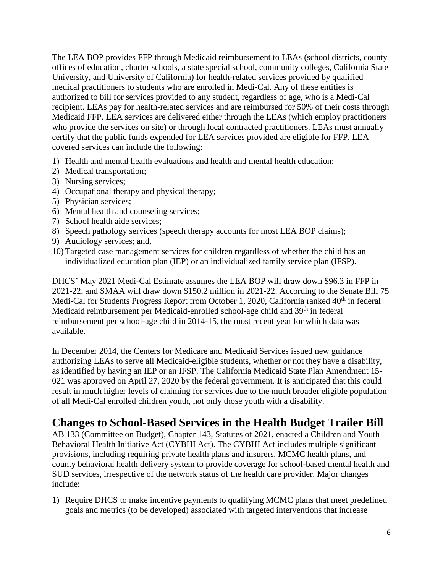The LEA BOP provides FFP through Medicaid reimbursement to LEAs (school districts, county offices of education, charter schools, a state special school, community colleges, California State University, and University of California) for health-related services provided by qualified medical practitioners to students who are enrolled in Medi-Cal. Any of these entities is authorized to bill for services provided to any student, regardless of age, who is a Medi-Cal recipient. LEAs pay for health-related services and are reimbursed for 50% of their costs through Medicaid FFP. LEA services are delivered either through the LEAs (which employ practitioners who provide the services on site) or through local contracted practitioners. LEAs must annually certify that the public funds expended for LEA services provided are eligible for FFP. LEA covered services can include the following:

- 1) Health and mental health evaluations and health and mental health education;
- 2) Medical transportation;
- 3) Nursing services;
- 4) Occupational therapy and physical therapy;
- 5) Physician services;
- 6) Mental health and counseling services;
- 7) School health aide services;
- 8) Speech pathology services (speech therapy accounts for most LEA BOP claims);
- 9) Audiology services; and,
- 10) Targeted case management services for children regardless of whether the child has an individualized education plan (IEP) or an individualized family service plan (IFSP).

DHCS' May 2021 Medi-Cal Estimate assumes the LEA BOP will draw down \$96.3 in FFP in 2021-22, and SMAA will draw down \$150.2 million in 2021-22. According to the Senate Bill 75 Medi-Cal for Students Progress Report from October 1, 2020, California ranked 40<sup>th</sup> in federal Medicaid reimbursement per Medicaid-enrolled school-age child and 39<sup>th</sup> in federal reimbursement per school-age child in 2014-15, the most recent year for which data was available.

In December 2014, the Centers for Medicare and Medicaid Services issued new guidance authorizing LEAs to serve all Medicaid-eligible students, whether or not they have a disability, as identified by having an IEP or an IFSP. The California Medicaid State Plan Amendment 15- 021 was approved on April 27, 2020 by the federal government. It is anticipated that this could result in much higher levels of claiming for services due to the much broader eligible population of all Medi-Cal enrolled children youth, not only those youth with a disability.

## **Changes to School-Based Services in the Health Budget Trailer Bill**

AB 133 (Committee on Budget), Chapter 143, Statutes of 2021, enacted a Children and Youth Behavioral Health Initiative Act (CYBHI Act). The CYBHI Act includes multiple significant provisions, including requiring private health plans and insurers, MCMC health plans, and county behavioral health delivery system to provide coverage for school-based mental health and SUD services, irrespective of the network status of the health care provider. Major changes include:

1) Require DHCS to make incentive payments to qualifying MCMC plans that meet predefined goals and metrics (to be developed) associated with targeted interventions that increase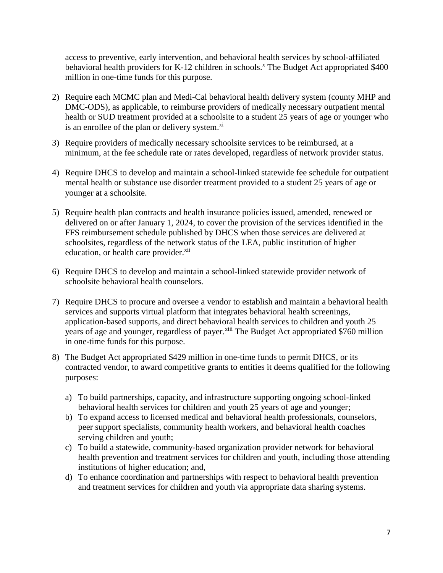access to preventive, early intervention, and behavioral health services by school-affiliated behavioral health providers for K-12 children in schools.<sup>x</sup> The Budget Act appropriated \$400 million in one-time funds for this purpose.

- 2) Require each MCMC plan and Medi-Cal behavioral health delivery system (county MHP and DMC-ODS), as applicable, to reimburse providers of medically necessary outpatient mental health or SUD treatment provided at a schoolsite to a student 25 years of age or younger who is an enrollee of the plan or delivery system.<sup>xi</sup>
- 3) Require providers of medically necessary schoolsite services to be reimbursed, at a minimum, at the fee schedule rate or rates developed, regardless of network provider status.
- 4) Require DHCS to develop and maintain a school-linked statewide fee schedule for outpatient mental health or substance use disorder treatment provided to a student 25 years of age or younger at a schoolsite.
- 5) Require health plan contracts and health insurance policies issued, amended, renewed or delivered on or after January 1, 2024, to cover the provision of the services identified in the FFS reimbursement schedule published by DHCS when those services are delivered at schoolsites, regardless of the network status of the LEA, public institution of higher education, or health care provider.<sup>xii</sup>
- 6) Require DHCS to develop and maintain a school-linked statewide provider network of schoolsite behavioral health counselors.
- 7) Require DHCS to procure and oversee a vendor to establish and maintain a behavioral health services and supports virtual platform that integrates behavioral health screenings, application-based supports, and direct behavioral health services to children and youth 25 years of age and younger, regardless of payer.<sup>xiii</sup> The Budget Act appropriated \$760 million in one-time funds for this purpose.
- 8) The Budget Act appropriated \$429 million in one-time funds to permit DHCS, or its contracted vendor, to award competitive grants to entities it deems qualified for the following purposes:
	- a) To build partnerships, capacity, and infrastructure supporting ongoing school-linked behavioral health services for children and youth 25 years of age and younger;
	- b) To expand access to licensed medical and behavioral health professionals, counselors, peer support specialists, community health workers, and behavioral health coaches serving children and youth;
	- c) To build a statewide, community-based organization provider network for behavioral health prevention and treatment services for children and youth, including those attending institutions of higher education; and,
	- d) To enhance coordination and partnerships with respect to behavioral health prevention and treatment services for children and youth via appropriate data sharing systems.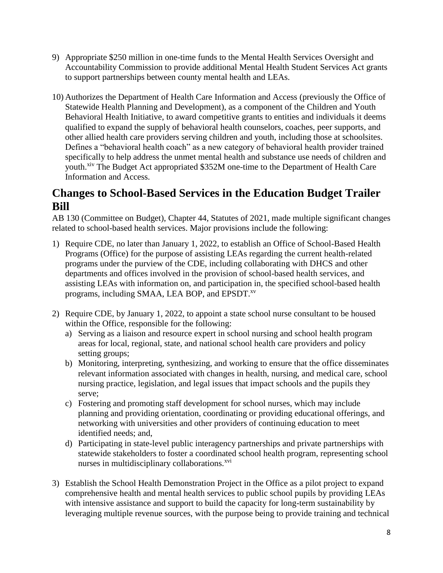- 9) Appropriate \$250 million in one-time funds to the Mental Health Services Oversight and Accountability Commission to provide additional Mental Health Student Services Act grants to support partnerships between county mental health and LEAs.
- 10) Authorizes the Department of Health Care Information and Access (previously the Office of Statewide Health Planning and Development), as a component of the Children and Youth Behavioral Health Initiative, to award competitive grants to entities and individuals it deems qualified to expand the supply of behavioral health counselors, coaches, peer supports, and other allied health care providers serving children and youth, including those at schoolsites. Defines a "behavioral health coach" as a new category of behavioral health provider trained specifically to help address the unmet mental health and substance use needs of children and youth.<sup>xiv</sup> The Budget Act appropriated \$352M one-time to the Department of Health Care Information and Access.

## **Changes to School-Based Services in the Education Budget Trailer Bill**

AB 130 (Committee on Budget), Chapter 44, Statutes of 2021, made multiple significant changes related to school-based health services. Major provisions include the following:

- 1) Require CDE, no later than January 1, 2022, to establish an Office of School-Based Health Programs (Office) for the purpose of assisting LEAs regarding the current health-related programs under the purview of the CDE, including collaborating with DHCS and other departments and offices involved in the provision of school-based health services, and assisting LEAs with information on, and participation in, the specified school-based health programs, including SMAA, LEA BOP, and EPSDT.<sup>xv</sup>
- 2) Require CDE, by January 1, 2022, to appoint a state school nurse consultant to be housed within the Office, responsible for the following:
	- a) Serving as a liaison and resource expert in school nursing and school health program areas for local, regional, state, and national school health care providers and policy setting groups;
	- b) Monitoring, interpreting, synthesizing, and working to ensure that the office disseminates relevant information associated with changes in health, nursing, and medical care, school nursing practice, legislation, and legal issues that impact schools and the pupils they serve;
	- c) Fostering and promoting staff development for school nurses, which may include planning and providing orientation, coordinating or providing educational offerings, and networking with universities and other providers of continuing education to meet identified needs; and,
	- d) Participating in state-level public interagency partnerships and private partnerships with statewide stakeholders to foster a coordinated school health program, representing school nurses in multidisciplinary collaborations.<sup>xvi</sup>
- 3) Establish the School Health Demonstration Project in the Office as a pilot project to expand comprehensive health and mental health services to public school pupils by providing LEAs with intensive assistance and support to build the capacity for long-term sustainability by leveraging multiple revenue sources, with the purpose being to provide training and technical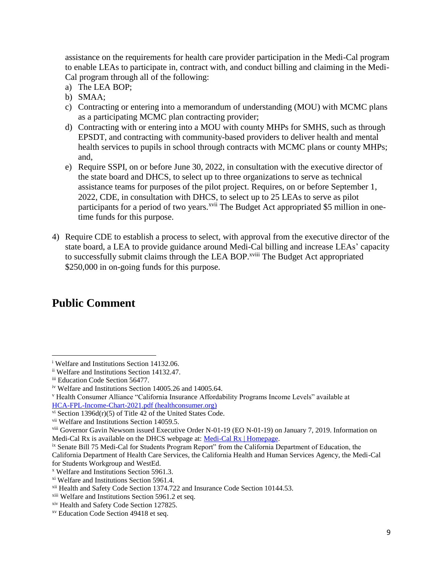assistance on the requirements for health care provider participation in the Medi-Cal program to enable LEAs to participate in, contract with, and conduct billing and claiming in the Medi-Cal program through all of the following:

- a) The LEA BOP;
- b) SMAA;
- c) Contracting or entering into a memorandum of understanding (MOU) with MCMC plans as a participating MCMC plan contracting provider;
- d) Contracting with or entering into a MOU with county MHPs for SMHS, such as through EPSDT, and contracting with community-based providers to deliver health and mental health services to pupils in school through contracts with MCMC plans or county MHPs; and,
- e) Require SSPI, on or before June 30, 2022, in consultation with the executive director of the state board and DHCS, to select up to three organizations to serve as technical assistance teams for purposes of the pilot project. Requires, on or before September 1, 2022, CDE, in consultation with DHCS, to select up to 25 LEAs to serve as pilot participants for a period of two years.<sup>xvii</sup> The Budget Act appropriated \$5 million in onetime funds for this purpose.
- 4) Require CDE to establish a process to select, with approval from the executive director of the state board, a LEA to provide guidance around Medi-Cal billing and increase LEAs' capacity to successfully submit claims through the LEA BOP.<sup>xviii</sup> The Budget Act appropriated \$250,000 in on-going funds for this purpose.

# **Public Comment**

<sup>i</sup> Welfare and Institutions Section 14132.06. l

ii Welfare and Institutions Section 14132.47.

iii Education Code Section 56477.

iv Welfare and Institutions Section 14005.26 and 14005.64.

<sup>v</sup> Health Consumer Alliance "California Insurance Affordability Programs Income Levels" available at [HCA-FPL-Income-Chart-2021.pdf \(healthconsumer.org\)](https://healthconsumer.org/wp/wp-content/uploads/2021/01/HCA-FPL-Income-Chart-2021.pdf)

vi Section 1396d(r)(5) of Title 42 of the United States Code.

vii Welfare and Institutions Section 14059.5.

viii Governor Gavin Newsom issued Executive Order N-01-19 (EO N-01-19) on January 7, 2019. Information on Medi-Cal Rx is available on the DHCS webpage at[: Medi-Cal Rx | Homepage.](https://medi-calrx.dhcs.ca.gov/home/)

ix Senate Bill 75 Medi-Cal for Students Program Report" from the California Department of Education, the California Department of Health Care Services, the California Health and Human Services Agency, the Medi-Cal for Students Workgroup and WestEd.

<sup>x</sup> Welfare and Institutions Section 5961.3.

xi Welfare and Institutions Section 5961.4.

xii Health and Safety Code Section 1374.722 and Insurance Code Section 10144.53.

xiii Welfare and Institutions Section 5961.2 et seq.

xiv Health and Safety Code Section 127825.

xv Education Code Section 49418 et seq.